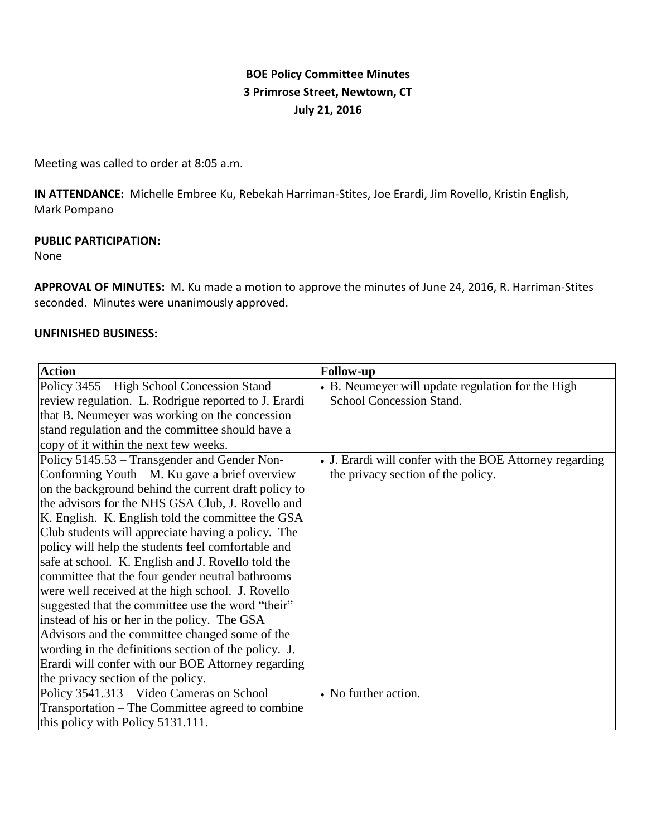# **BOE Policy Committee Minutes 3 Primrose Street, Newtown, CT July 21, 2016**

Meeting was called to order at 8:05 a.m.

**IN ATTENDANCE:** Michelle Embree Ku, Rebekah Harriman-Stites, Joe Erardi, Jim Rovello, Kristin English, Mark Pompano

### **PUBLIC PARTICIPATION:**

None

**APPROVAL OF MINUTES:** M. Ku made a motion to approve the minutes of June 24, 2016, R. Harriman-Stites seconded. Minutes were unanimously approved.

### **UNFINISHED BUSINESS:**

| <b>Action</b>                                        | <b>Follow-up</b>                                        |
|------------------------------------------------------|---------------------------------------------------------|
| Policy 3455 – High School Concession Stand –         | • B. Neumeyer will update regulation for the High       |
| review regulation. L. Rodrigue reported to J. Erardi | School Concession Stand.                                |
| that B. Neumeyer was working on the concession       |                                                         |
| stand regulation and the committee should have a     |                                                         |
| copy of it within the next few weeks.                |                                                         |
| Policy 5145.53 – Transgender and Gender Non-         | • J. Erardi will confer with the BOE Attorney regarding |
| Conforming Youth – M. Ku gave a brief overview       | the privacy section of the policy.                      |
| on the background behind the current draft policy to |                                                         |
| the advisors for the NHS GSA Club, J. Rovello and    |                                                         |
| K. English. K. English told the committee the GSA    |                                                         |
| Club students will appreciate having a policy. The   |                                                         |
| policy will help the students feel comfortable and   |                                                         |
| safe at school. K. English and J. Rovello told the   |                                                         |
| committee that the four gender neutral bathrooms     |                                                         |
| were well received at the high school. J. Rovello    |                                                         |
| suggested that the committee use the word "their"    |                                                         |
| instead of his or her in the policy. The GSA         |                                                         |
| Advisors and the committee changed some of the       |                                                         |
| wording in the definitions section of the policy. J. |                                                         |
| Erardi will confer with our BOE Attorney regarding   |                                                         |
| the privacy section of the policy.                   |                                                         |
| Policy 3541.313 – Video Cameras on School            | • No further action.                                    |
| Transportation – The Committee agreed to combine     |                                                         |
| this policy with Policy 5131.111.                    |                                                         |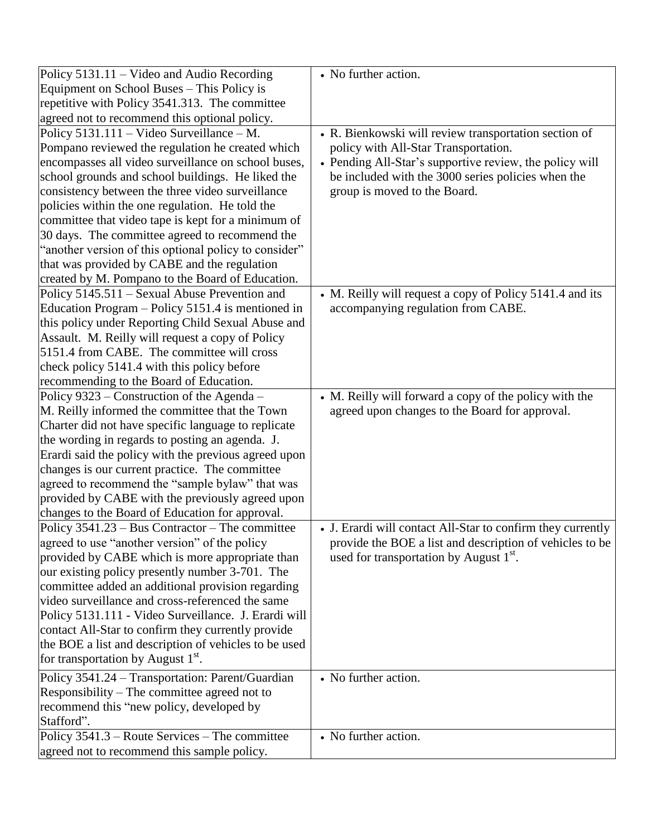| Policy $5131.11 -$ Video and Audio Recording          | • No further action.                                        |
|-------------------------------------------------------|-------------------------------------------------------------|
| Equipment on School Buses - This Policy is            |                                                             |
| repetitive with Policy 3541.313. The committee        |                                                             |
| agreed not to recommend this optional policy.         |                                                             |
| Policy 5131.111 - Video Surveillance - M.             | • R. Bienkowski will review transportation section of       |
| Pompano reviewed the regulation he created which      | policy with All-Star Transportation.                        |
| encompasses all video surveillance on school buses,   | • Pending All-Star's supportive review, the policy will     |
| school grounds and school buildings. He liked the     | be included with the 3000 series policies when the          |
| consistency between the three video surveillance      | group is moved to the Board.                                |
| policies within the one regulation. He told the       |                                                             |
| committee that video tape is kept for a minimum of    |                                                             |
| 30 days. The committee agreed to recommend the        |                                                             |
| "another version of this optional policy to consider" |                                                             |
| that was provided by CABE and the regulation          |                                                             |
| created by M. Pompano to the Board of Education.      |                                                             |
| Policy 5145.511 – Sexual Abuse Prevention and         | • M. Reilly will request a copy of Policy 5141.4 and its    |
| Education Program – Policy 5151.4 is mentioned in     | accompanying regulation from CABE.                          |
| this policy under Reporting Child Sexual Abuse and    |                                                             |
| Assault. M. Reilly will request a copy of Policy      |                                                             |
| 5151.4 from CABE. The committee will cross            |                                                             |
| check policy 5141.4 with this policy before           |                                                             |
| recommending to the Board of Education.               |                                                             |
| Policy 9323 – Construction of the Agenda –            | • M. Reilly will forward a copy of the policy with the      |
| M. Reilly informed the committee that the Town        | agreed upon changes to the Board for approval.              |
| Charter did not have specific language to replicate   |                                                             |
| the wording in regards to posting an agenda. J.       |                                                             |
| Erardi said the policy with the previous agreed upon  |                                                             |
| changes is our current practice. The committee        |                                                             |
| agreed to recommend the "sample bylaw" that was       |                                                             |
| provided by CABE with the previously agreed upon      |                                                             |
| changes to the Board of Education for approval.       |                                                             |
| Policy $3541.23 - Bus$ Contractor – The committee     | • J. Erardi will contact All-Star to confirm they currently |
| agreed to use "another version" of the policy         | provide the BOE a list and description of vehicles to be    |
| provided by CABE which is more appropriate than       | used for transportation by August 1 <sup>st</sup> .         |
| our existing policy presently number 3-701. The       |                                                             |
| committee added an additional provision regarding     |                                                             |
| video surveillance and cross-referenced the same      |                                                             |
| Policy 5131.111 - Video Surveillance. J. Erardi will  |                                                             |
| contact All-Star to confirm they currently provide    |                                                             |
| the BOE a list and description of vehicles to be used |                                                             |
| for transportation by August 1 <sup>st</sup> .        |                                                             |
| Policy 3541.24 – Transportation: Parent/Guardian      | • No further action.                                        |
| Responsibility – The committee agreed not to          |                                                             |
| recommend this "new policy, developed by              |                                                             |
| Stafford".                                            |                                                             |
| Policy 3541.3 – Route Services – The committee        | • No further action.                                        |
| agreed not to recommend this sample policy.           |                                                             |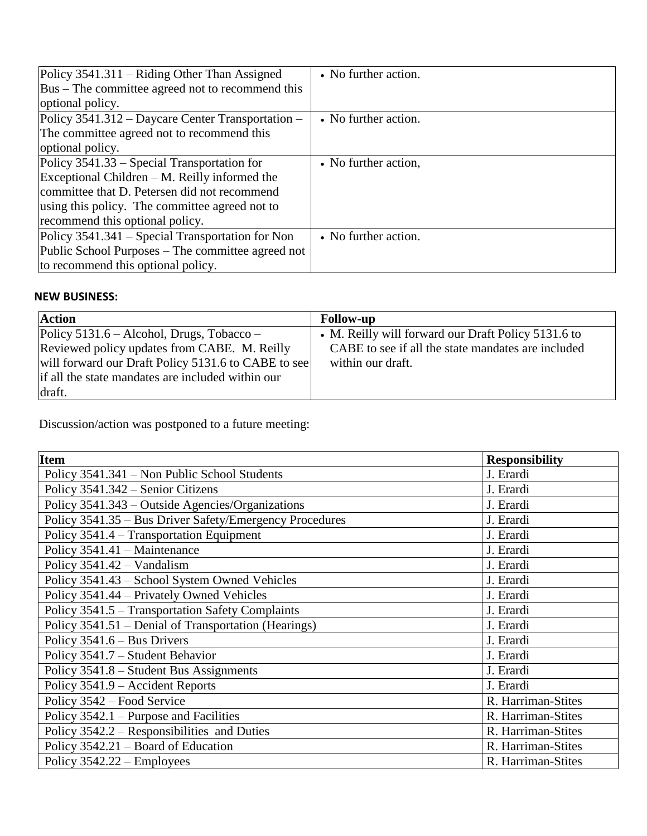| Policy $3541.311 -$ Riding Other Than Assigned                | • No further action. |
|---------------------------------------------------------------|----------------------|
| Bus – The committee agreed not to recommend this              |                      |
| optional policy.                                              |                      |
| Policy 3541.312 – Daycare Center Transportation –             | • No further action. |
| The committee agreed not to recommend this                    |                      |
| optional policy.                                              |                      |
| Policy $3541.33$ – Special Transportation for                 | • No further action, |
| $\text{Exceptional Children} - \text{M.}$ Reilly informed the |                      |
| committee that D. Petersen did not recommend                  |                      |
| using this policy. The committee agreed not to                |                      |
| recommend this optional policy.                               |                      |
| Policy 3541.341 – Special Transportation for Non              | • No further action. |
| Public School Purposes – The committee agreed not             |                      |
| to recommend this optional policy.                            |                      |

## **NEW BUSINESS:**

| <b>Action</b>                                       | <b>Follow-up</b>                                    |
|-----------------------------------------------------|-----------------------------------------------------|
| $Policy 5131.6 - Alcohol, Drugs, Tobacco -$         | • M. Reilly will forward our Draft Policy 5131.6 to |
| Reviewed policy updates from CABE. M. Reilly        | CABE to see if all the state mandates are included  |
| will forward our Draft Policy 5131.6 to CABE to see | within our draft.                                   |
| if all the state mandates are included within our   |                                                     |
| draft.                                              |                                                     |

Discussion/action was postponed to a future meeting:

| <b>Item</b>                                             | <b>Responsibility</b> |
|---------------------------------------------------------|-----------------------|
| Policy 3541.341 – Non Public School Students            | J. Erardi             |
| Policy 3541.342 – Senior Citizens                       | J. Erardi             |
| Policy 3541.343 – Outside Agencies/Organizations        | J. Erardi             |
| Policy 3541.35 – Bus Driver Safety/Emergency Procedures | J. Erardi             |
| Policy 3541.4 – Transportation Equipment                | J. Erardi             |
| Policy 3541.41 - Maintenance                            | J. Erardi             |
| Policy $3541.42$ – Vandalism                            | J. Erardi             |
| Policy 3541.43 - School System Owned Vehicles           | J. Erardi             |
| Policy 3541.44 – Privately Owned Vehicles               | J. Erardi             |
| Policy 3541.5 – Transportation Safety Complaints        | J. Erardi             |
| Policy 3541.51 – Denial of Transportation (Hearings)    | J. Erardi             |
| Policy $3541.6 - Bus$ Drivers                           | J. Erardi             |
| Policy 3541.7 - Student Behavior                        | J. Erardi             |
| Policy 3541.8 – Student Bus Assignments                 | J. Erardi             |
| Policy 3541.9 – Accident Reports                        | J. Erardi             |
| Policy 3542 – Food Service                              | R. Harriman-Stites    |
| Policy $3542.1$ – Purpose and Facilities                | R. Harriman-Stites    |
| Policy 3542.2 – Responsibilities and Duties             | R. Harriman-Stites    |
| Policy $3542.21$ – Board of Education                   | R. Harriman-Stites    |
| Policy 3542.22 – Employees                              | R. Harriman-Stites    |